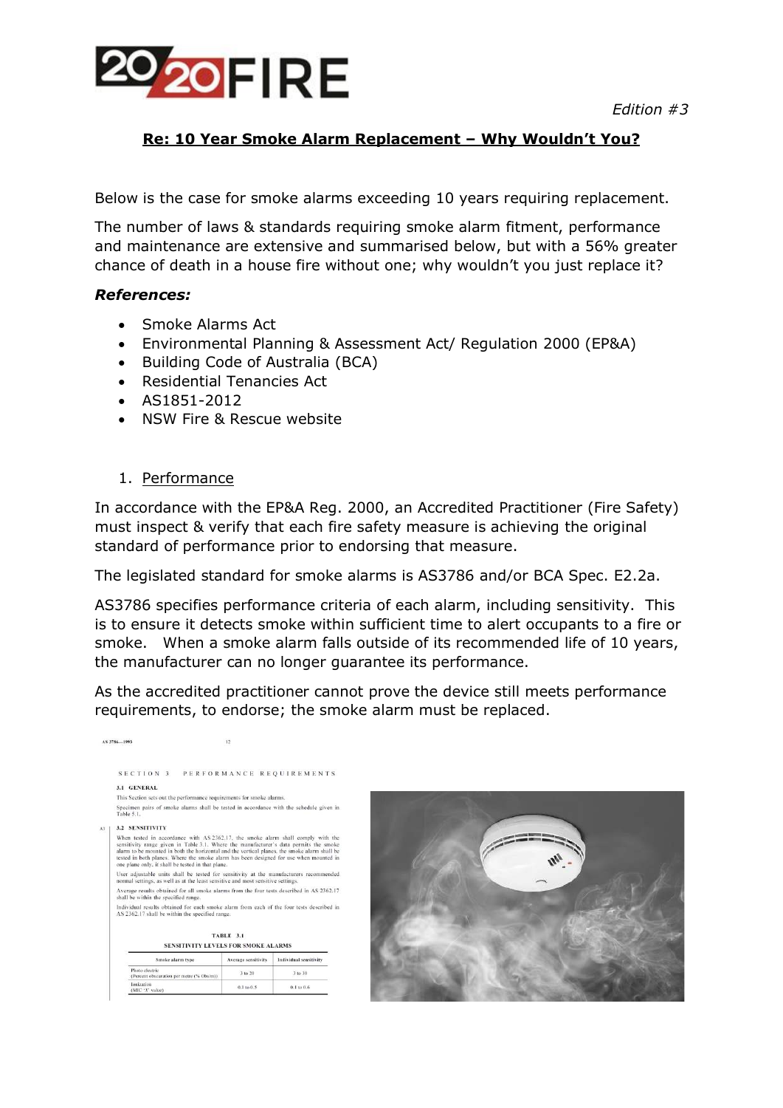

### **Re: 10 Year Smoke Alarm Replacement – Why Wouldn't You?**

Below is the case for smoke alarms exceeding 10 years requiring replacement.

The number of laws & standards requiring smoke alarm fitment, performance and maintenance are extensive and summarised below, but with a 56% greater chance of death in a house fire without one; why wouldn't you just replace it?

#### *References:*

- Smoke Alarms Act
- Environmental Planning & Assessment Act/ Regulation 2000 (EP&A)
- Building Code of Australia (BCA)
- Residential Tenancies Act
- AS1851-2012
- NSW Fire & Rescue website

#### 1. Performance

AS 3786-1993

 $(MIC^{\dagger}X^{\dagger})$  value

In accordance with the EP&A Reg. 2000, an Accredited Practitioner (Fire Safety) must inspect & verify that each fire safety measure is achieving the original standard of performance prior to endorsing that measure.

The legislated standard for smoke alarms is AS3786 and/or BCA Spec. E2.2a.

AS3786 specifies performance criteria of each alarm, including sensitivity. This is to ensure it detects smoke within sufficient time to alert occupants to a fire or smoke. When a smoke alarm falls outside of its recommended life of 10 years, the manufacturer can no longer guarantee its performance.

As the accredited practitioner cannot prove the device still meets performance requirements, to endorse; the smoke alarm must be replaced.

| SECTION 3                                                                                                                                                                                                                                                                                                                                                                                                                |                      | PERFORMANCE REQUIREMENTS |
|--------------------------------------------------------------------------------------------------------------------------------------------------------------------------------------------------------------------------------------------------------------------------------------------------------------------------------------------------------------------------------------------------------------------------|----------------------|--------------------------|
| 3.1 GENERAL                                                                                                                                                                                                                                                                                                                                                                                                              |                      |                          |
| This Section sets out the performance requirements for smoke alarms.                                                                                                                                                                                                                                                                                                                                                     |                      |                          |
| Specimen pairs of smoke alarms shall be tested in accordance with the schedule given in<br>Table 5.1.                                                                                                                                                                                                                                                                                                                    |                      |                          |
| <b>3.2 SENSITIVITY</b>                                                                                                                                                                                                                                                                                                                                                                                                   |                      |                          |
| When tested in accordance with AS 2362.17, the smoke alarm shall comply with the<br>sensitivity range given in Table 3.1. Where the manufacturer's data permits the smoke<br>alarm to be mounted in both the horizontal and the vertical planes, the smoke alarm shall be<br>tested in both planes. Where the smoke alarm has been designed for use when mounted in<br>one plane only, it shall be tested in that plane. |                      |                          |
| User adjustable units shall be tested for sensitivity at the manufacturers recommended<br>normal settings, as well as at the least sensitive and most sensitive settings.                                                                                                                                                                                                                                                |                      |                          |
| Average results obtained for all smoke alarms from the four tests described in AS 2362.17<br>shall be within the specified range.                                                                                                                                                                                                                                                                                        |                      |                          |
| Individual results obtained for each smoke alarm from each of the four tests described in<br>AS 2362.17 shall be within the specified range.                                                                                                                                                                                                                                                                             |                      |                          |
|                                                                                                                                                                                                                                                                                                                                                                                                                          | <b>TABLE 3.1</b>     |                          |
| SENSITIVITY LEVELS FOR SMOKE ALARMS                                                                                                                                                                                                                                                                                                                                                                                      |                      |                          |
| Smoke alarm type                                                                                                                                                                                                                                                                                                                                                                                                         | Average sensitivity. | Individual sensitivity   |
| Photo electric<br>The course of a company of the course of the state of the factors.                                                                                                                                                                                                                                                                                                                                     | 3 to 20              | 3 to 30                  |

 $0.1$  to  $0.5$ 

 $0.1$  to  $0.6$ 

 $\overline{12}$ 

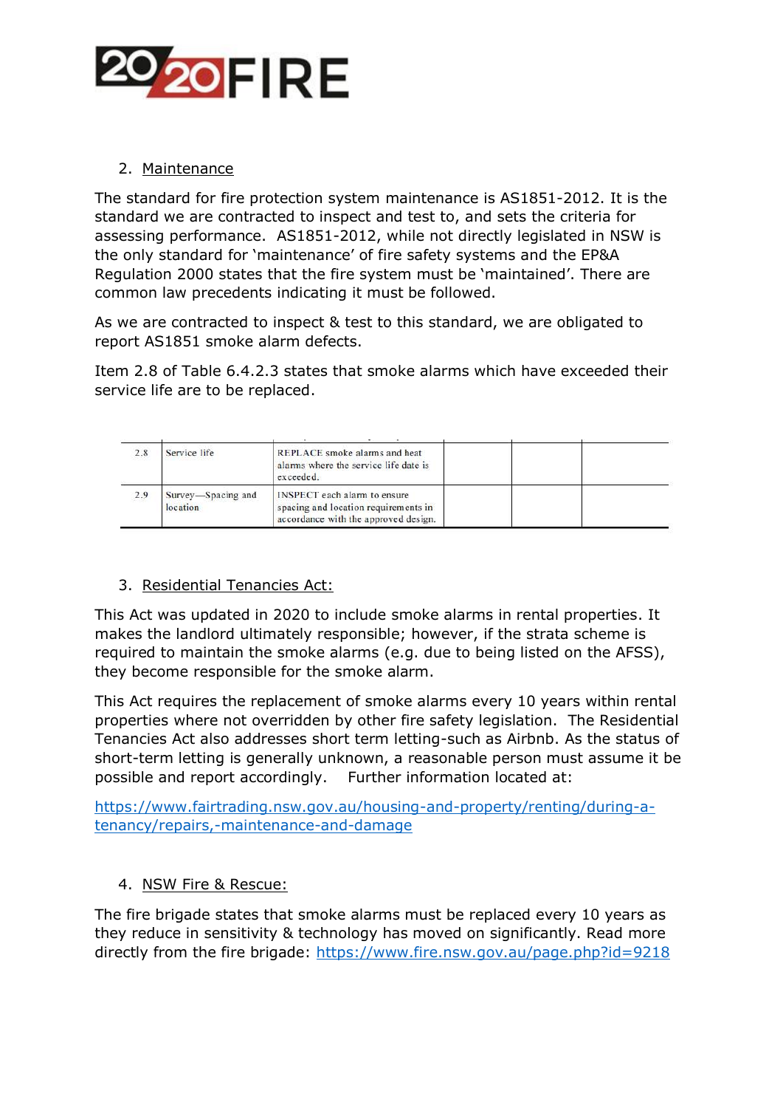

# 2. Maintenance

The standard for fire protection system maintenance is AS1851-2012. It is the standard we are contracted to inspect and test to, and sets the criteria for assessing performance. AS1851-2012, while not directly legislated in NSW is the only standard for 'maintenance' of fire safety systems and the EP&A Regulation 2000 states that the fire system must be 'maintained'. There are common law precedents indicating it must be followed.

As we are contracted to inspect & test to this standard, we are obligated to report AS1851 smoke alarm defects.

Item 2.8 of Table 6.4.2.3 states that smoke alarms which have exceeded their service life are to be replaced.

| 2.8 | Service life                   | REPLACE smoke alarms and heat<br>alarms where the service life date is<br>exceeded.                                 |  |
|-----|--------------------------------|---------------------------------------------------------------------------------------------------------------------|--|
| 2.9 | Survey-Spacing and<br>location | <b>INSPECT</b> each alarm to ensure<br>spacing and location requirements in<br>accordance with the approved design. |  |

## 3. Residential Tenancies Act:

This Act was updated in 2020 to include smoke alarms in rental properties. It makes the landlord ultimately responsible; however, if the strata scheme is required to maintain the smoke alarms (e.g. due to being listed on the AFSS), they become responsible for the smoke alarm.

This Act requires the replacement of smoke alarms every 10 years within rental properties where not overridden by other fire safety legislation. The Residential Tenancies Act also addresses short term letting-such as Airbnb. As the status of short-term letting is generally unknown, a reasonable person must assume it be possible and report accordingly. Further information located at:

[https://www.fairtrading.nsw.gov.au/housing-and-property/renting/during-a](https://www.fairtrading.nsw.gov.au/housing-and-property/renting/during-a-tenancy/repairs,-maintenance-and-damage)[tenancy/repairs,-maintenance-and-damage](https://www.fairtrading.nsw.gov.au/housing-and-property/renting/during-a-tenancy/repairs,-maintenance-and-damage)

#### 4. NSW Fire & Rescue:

The fire brigade states that smoke alarms must be replaced every 10 years as they reduce in sensitivity & technology has moved on significantly. Read more directly from the fire brigade:<https://www.fire.nsw.gov.au/page.php?id=9218>